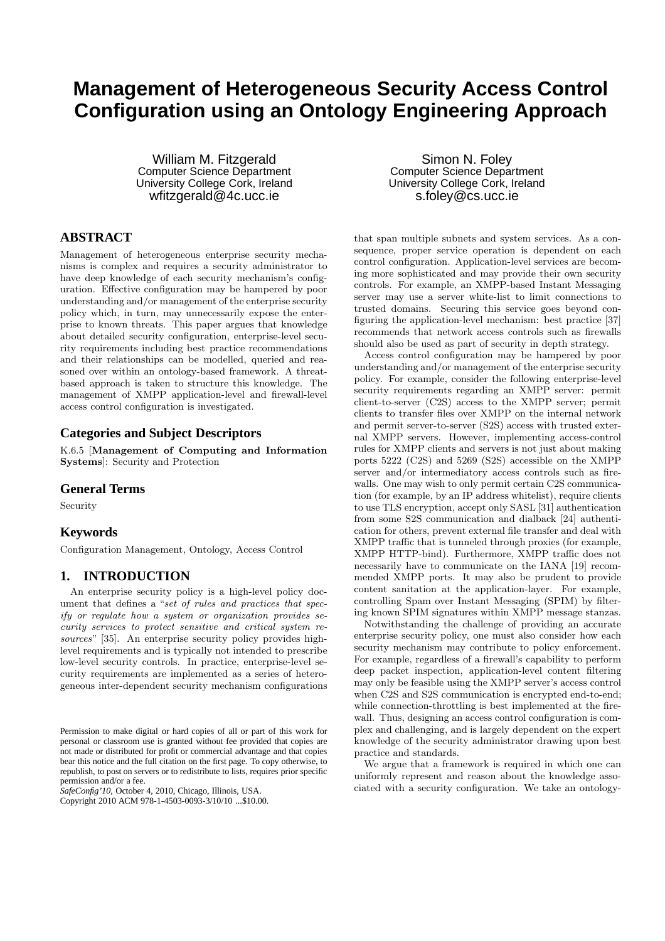# **Management of Heterogeneous Security Access Control Configuration using an Ontology Engineering Approach**

William M. Fitzgerald Computer Science Department University College Cork, Ireland wfitzgerald@4c.ucc.ie

# **ABSTRACT**

Management of heterogeneous enterprise security mechanisms is complex and requires a security administrator to have deep knowledge of each security mechanism's configuration. Effective configuration may be hampered by poor understanding and/or management of the enterprise security policy which, in turn, may unnecessarily expose the enterprise to known threats. This paper argues that knowledge about detailed security configuration, enterprise-level security requirements including best practice recommendations and their relationships can be modelled, queried and reasoned over within an ontology-based framework. A threatbased approach is taken to structure this knowledge. The management of XMPP application-level and firewall-level access control configuration is investigated.

#### **Categories and Subject Descriptors**

K.6.5 [Management of Computing and Information Systems]: Security and Protection

#### **General Terms**

Security

#### **Keywords**

Configuration Management, Ontology, Access Control

## **1. INTRODUCTION**

An enterprise security policy is a high-level policy document that defines a "*set of rules and practices that specify or regulate how a system or organization provides security services to protect sensitive and critical system resources*" [35]. An enterprise security policy provides highlevel requirements and is typically not intended to prescribe low-level security controls. In practice, enterprise-level security requirements are implemented as a series of heterogeneous inter-dependent security mechanism configurations

*SafeConfig'10,* October 4, 2010, Chicago, Illinois, USA.

Copyright 2010 ACM 978-1-4503-0093-3/10/10 ...\$10.00.

Simon N. Foley Computer Science Department University College Cork, Ireland s.foley@cs.ucc.ie

that span multiple subnets and system services. As a consequence, proper service operation is dependent on each control configuration. Application-level services are becoming more sophisticated and may provide their own security controls. For example, an XMPP-based Instant Messaging server may use a server white-list to limit connections to trusted domains. Securing this service goes beyond configuring the application-level mechanism: best practice [37] recommends that network access controls such as firewalls should also be used as part of security in depth strategy.

Access control configuration may be hampered by poor understanding and/or management of the enterprise security policy. For example, consider the following enterprise-level security requirements regarding an XMPP server: permit client-to-server (C2S) access to the XMPP server; permit clients to transfer files over XMPP on the internal network and permit server-to-server (S2S) access with trusted external XMPP servers. However, implementing access-control rules for XMPP clients and servers is not just about making ports 5222 (C2S) and 5269 (S2S) accessible on the XMPP server and/or intermediatory access controls such as firewalls. One may wish to only permit certain C2S communication (for example, by an IP address whitelist), require clients to use TLS encryption, accept only SASL [31] authentication from some S2S communication and dialback [24] authentication for others, prevent external file transfer and deal with XMPP traffic that is tunneled through proxies (for example, XMPP HTTP-bind). Furthermore, XMPP traffic does not necessarily have to communicate on the IANA [19] recommended XMPP ports. It may also be prudent to provide content sanitation at the application-layer. For example, controlling Spam over Instant Messaging (SPIM) by filtering known SPIM signatures within XMPP message stanzas.

Notwithstanding the challenge of providing an accurate enterprise security policy, one must also consider how each security mechanism may contribute to policy enforcement. For example, regardless of a firewall's capability to perform deep packet inspection, application-level content filtering may only be feasible using the XMPP server's access control when C2S and S2S communication is encrypted end-to-end; while connection-throttling is best implemented at the firewall. Thus, designing an access control configuration is complex and challenging, and is largely dependent on the expert knowledge of the security administrator drawing upon best practice and standards.

We argue that a framework is required in which one can uniformly represent and reason about the knowledge associated with a security configuration. We take an ontology-

Permission to make digital or hard copies of all or part of this work for personal or classroom use is granted without fee provided that copies are not made or distributed for profit or commercial advantage and that copies bear this notice and the full citation on the first page. To copy otherwise, to republish, to post on servers or to redistribute to lists, requires prior specific permission and/or a fee.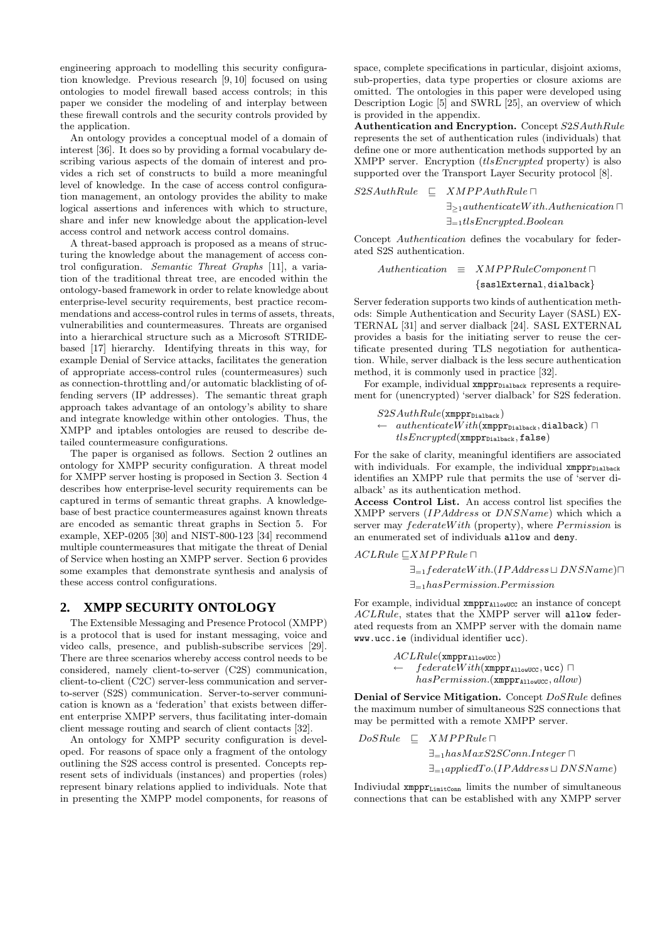engineering approach to modelling this security configuration knowledge. Previous research [9, 10] focused on using ontologies to model firewall based access controls; in this paper we consider the modeling of and interplay between these firewall controls and the security controls provided by the application.

An ontology provides a conceptual model of a domain of interest [36]. It does so by providing a formal vocabulary describing various aspects of the domain of interest and provides a rich set of constructs to build a more meaningful level of knowledge. In the case of access control configuration management, an ontology provides the ability to make logical assertions and inferences with which to structure, share and infer new knowledge about the application-level access control and network access control domains.

A threat-based approach is proposed as a means of structuring the knowledge about the management of access control configuration. *Semantic Threat Graphs* [11], a variation of the traditional threat tree, are encoded within the ontology-based framework in order to relate knowledge about enterprise-level security requirements, best practice recommendations and access-control rules in terms of assets, threats, vulnerabilities and countermeasures. Threats are organised into a hierarchical structure such as a Microsoft STRIDEbased [17] hierarchy. Identifying threats in this way, for example Denial of Service attacks, facilitates the generation of appropriate access-control rules (countermeasures) such as connection-throttling and/or automatic blacklisting of offending servers (IP addresses). The semantic threat graph approach takes advantage of an ontology's ability to share and integrate knowledge within other ontologies. Thus, the XMPP and iptables ontologies are reused to describe detailed countermeasure configurations.

The paper is organised as follows. Section 2 outlines an ontology for XMPP security configuration. A threat model for XMPP server hosting is proposed in Section 3. Section 4 describes how enterprise-level security requirements can be captured in terms of semantic threat graphs. A knowledgebase of best practice countermeasures against known threats are encoded as semantic threat graphs in Section 5. For example, XEP-0205 [30] and NIST-800-123 [34] recommend multiple countermeasures that mitigate the threat of Denial of Service when hosting an XMPP server. Section 6 provides some examples that demonstrate synthesis and analysis of these access control configurations.

## **2. XMPP SECURITY ONTOLOGY**

The Extensible Messaging and Presence Protocol (XMPP) is a protocol that is used for instant messaging, voice and video calls, presence, and publish-subscribe services [29]. There are three scenarios whereby access control needs to be considered, namely client-to-server (C2S) communication, client-to-client (C2C) server-less communication and serverto-server (S2S) communication. Server-to-server communication is known as a 'federation' that exists between different enterprise XMPP servers, thus facilitating inter-domain client message routing and search of client contacts [32].

An ontology for XMPP security configuration is developed. For reasons of space only a fragment of the ontology outlining the S2S access control is presented. Concepts represent sets of individuals (instances) and properties (roles) represent binary relations applied to individuals. Note that in presenting the XMPP model components, for reasons of

space, complete specifications in particular, disjoint axioms, sub-properties, data type properties or closure axioms are omitted. The ontologies in this paper were developed using Description Logic [5] and SWRL [25], an overview of which is provided in the appendix.

Authentication and Encryption. Concept S2SAuthRule represents the set of authentication rules (individuals) that define one or more authentication methods supported by an XMPP server. Encryption *(tlsEncrypted property)* is also supported over the Transport Layer Security protocol [8].

$$
S2SAuthRule \subseteq XMPPAuthRule \sqcap
$$
  

$$
\exists_{\geq 1} authorlicateWith. Authentication \sqcap
$$
  

$$
\exists_{=1} tlsEncrypted. Boolean
$$

Concept Authentication defines the vocabulary for federated S2S authentication.

Authentication  $\equiv$  XMPPRuleComponent  $\Box$ {saslExternal, dialback}

Server federation supports two kinds of authentication methods: Simple Authentication and Security Layer (SASL) EX-TERNAL [31] and server dialback [24]. SASL EXTERNAL provides a basis for the initiating server to reuse the certificate presented during TLS negotiation for authentication. While, server dialback is the less secure authentication method, it is commonly used in practice [32].

For example, individual  $xmppr_{\text{Dialback}}$  represents a requirement for (unencrypted) 'server dialback' for S2S federation.

$$
\substack{S2SAuthRule(\texttt{xmppr}_{\texttt{Dialback}})}{\leftarrow} \newline \substack{\leftarrow} \textit{authenticateWith(\texttt{xmppr}_{\texttt{Dialback}}, \texttt{dialback})} \sqcap \newline \textit{ilsEncrypted}(\texttt{xmppr}_{\texttt{Dialback}}, \texttt{false})
$$

For the sake of clarity, meaningful identifiers are associated with individuals. For example, the individual  $\text{xmppr}_{\text{Dialback}}$ identifies an XMPP rule that permits the use of 'server dialback' as its authentication method.

Access Control List. An access control list specifies the XMPP servers (IPAddress or DNSName) which which a server may *federateWith* (property), where *Permission* is an enumerated set of individuals allow and deny.

#### ACLRule ⊑XMPPRule ⊓

 $\exists_{=1} \text{federateWith}. (IPAddress \sqcup DNSName) \sqcap$  $\exists_{=1}$ hasPermission.Permission

For example, individual  $\tt{xmppr}_{\text{AllowUC}}$  an instance of concept ACLRule, states that the XMPP server will allow federated requests from an XMPP server with the domain name www.ucc.ie (individual identifier ucc).

> $ACLRule$ (xmpp $r_{\text{AllowUCC}}$ )  $federateWith(\texttt{xmppr}_{AllowUCC}, \texttt{ucc})$  ∏  $hasPermission.({\tt xmppr_{AllowC}}, allow)$

Denial of Service Mitigation. Concept  $DoSRule$  defines the maximum number of simultaneous S2S connections that may be permitted with a remote XMPP server.

$$
DoSRule \n\sqsubseteq \nXMPPRule \sqcap
$$
\n
$$
\exists_{=1} hasMaxS2SConn. Integer \sqcap
$$
\n
$$
\exists_{=1} appliedTo.(IPAddress \sqcup DNSName)
$$

Indiviudal  $\text{xmppr}_{\text{LimitConn}}$  limits the number of simultaneous connections that can be established with any XMPP server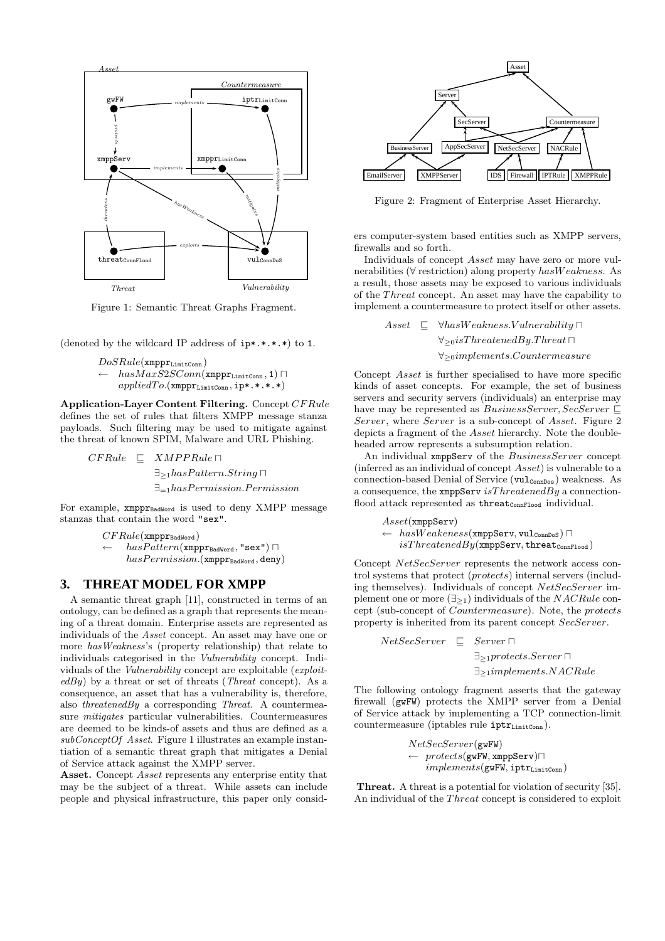

Figure 1: Semantic Threat Graphs Fragment.

(denoted by the wildcard IP address of  $ip*:*.*.*)$  to 1.

```
DoSRule(\texttt{xmppr}_\texttt{LimitConn})hasMaxS2SConn(\texttt{xmppr}_\texttt{LimitConn},1)\sqcapappliedTo.(xmppr_{LimitConn}, ip*.*.*.*)
```
Application-Layer Content Filtering. Concept CFRule defines the set of rules that filters XMPP message stanza payloads. Such filtering may be used to mitigate against the threat of known SPIM, Malware and URL Phishing.

> CFRule ⊑ XMPPRule ⊓ ∃≥<sup>1</sup>hasPattern.String ⊓  $\exists_{=1}$ hasPermission.Permission

For example,  $xmppr_{BadWord}$  is used to deny XMPP message stanzas that contain the word "sex".

> $CFRule(\texttt{xmppr}_{\texttt{BadWord}})$  $hasPattern(\texttt{xmppr}_\texttt{BadWord}, \texttt{"sex"}) \sqcap$  $hasPermission.({\tt{xmppr}_{BadWord}},{\tt{deny}})$

# **3. THREAT MODEL FOR XMPP**

A semantic threat graph [11], constructed in terms of an ontology, can be defined as a graph that represents the meaning of a threat domain. Enterprise assets are represented as individuals of the *Asset* concept. An asset may have one or more *hasWeakness*'s (property relationship) that relate to individuals categorised in the *Vulnerability* concept. Individuals of the *Vulnerability* concept are exploitable (*exploitedBy*) by a threat or set of threats (*Threat* concept). As a consequence, an asset that has a vulnerability is, therefore, also *threatenedBy* a corresponding *Threat*. A countermeasure *mitigates* particular vulnerabilities. Countermeasures are deemed to be kinds-of assets and thus are defined as a *subConceptOf Asset*. Figure 1 illustrates an example instantiation of a semantic threat graph that mitigates a Denial of Service attack against the XMPP server.

Asset. Concept *Asset* represents any enterprise entity that may be the subject of a threat. While assets can include people and physical infrastructure, this paper only consid-



Figure 2: Fragment of Enterprise Asset Hierarchy.

ers computer-system based entities such as XMPP servers, firewalls and so forth.

Individuals of concept Asset may have zero or more vulnerabilities (∀ restriction) along property hasWeakness. As a result, those assets may be exposed to various individuals of the Threat concept. An asset may have the capability to implement a countermeasure to protect itself or other assets.

> Asset ⊑ ∀hasWeakness.V ulnerability ⊓ ∀≥<sup>0</sup>isThreatenedBy.Threat ⊓ ∀≥<sup>0</sup>implements.Countermeasure

Concept Asset is further specialised to have more specific kinds of asset concepts. For example, the set of business servers and security servers (individuals) an enterprise may have may be represented as BusinessServer, SecServer ⊑ Server, where Server is a sub-concept of Asset. Figure 2 depicts a fragment of the Asset hierarchy. Note the doubleheaded arrow represents a subsumption relation.

An individual xmppServ of the BusinessServer concept (inferred as an individual of concept Asset) is vulnerable to a connection-based Denial of Service (vulconnDos) weakness. As a consequence, the  $xmppServ$  is ThreatenedBy a connectionflood attack represented as threat<sub>ConnFlood</sub> individual.

```
Asset(xmppServ)
```
← hasWeakeness(xmppServ, vulconnDos)

 $is ThreadBy({\tt xmppServer}, {\tt threat}_{{\tt ConnFlood}})$ 

Concept NetSecServer represents the network access control systems that protect (*protects*) internal servers (including themselves). Individuals of concept NetSecServer implement one or more  $(\exists_{>1})$  individuals of the NACRule concept (sub-concept of Countermeasure). Note, the protects property is inherited from its parent concept SecServer.

```
NetSecServer ⊑ Server ⊓
     ∃≥1protects.Server ⊓
     ∃≥1implements.NACRule
```
The following ontology fragment asserts that the gateway firewall (gwFW) protects the XMPP server from a Denial of Service attack by implementing a TCP connection-limit  $countermeasure (iptables rule `iptrLimitConn`).$ 

> NetSecServer(gwFW) ← protects(gwFW, xmppServ)⊓  $implements(\text{gwFW},\text{iptr}_\text{LimitConn})$

Threat. A threat is a potential for violation of security [35]. An individual of the Threat concept is considered to exploit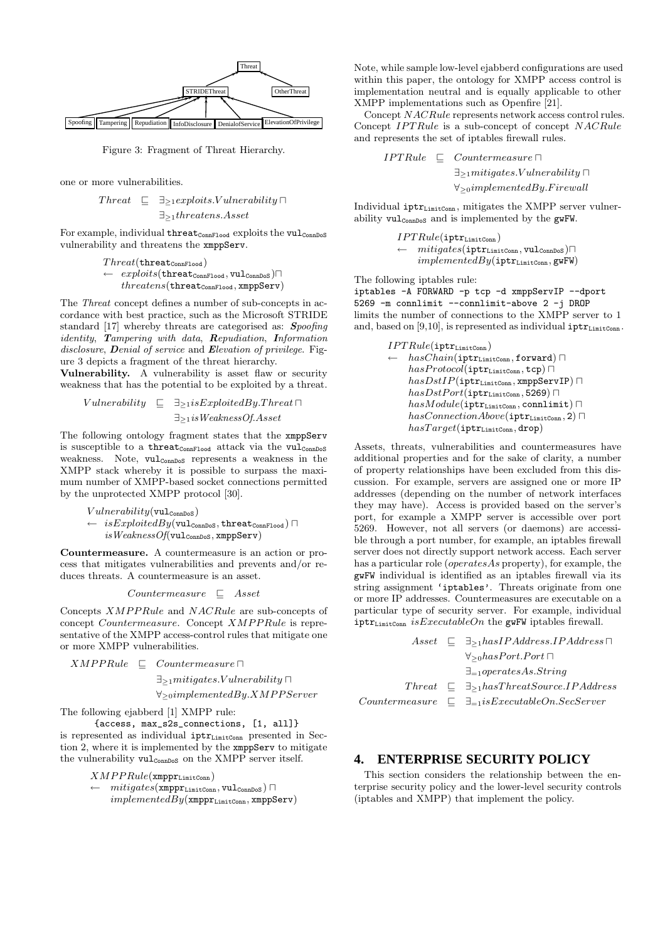

Figure 3: Fragment of Threat Hierarchy.

one or more vulnerabilities.

Threat ⊑ ∃≥<sup>1</sup>exploits.V ulnerability ⊓ ∃≥<sup>1</sup>threatens.Asset

For example, individual threat<sub>ConnFlood</sub> exploits the vulconnDoS vulnerability and threatens the xmppServ.

> $Thread$ (threat<sub>ConnFlood</sub>) ←  $\epsilon xplots(\texttt{thread}_\texttt{ConnFood},\texttt{vul}_\texttt{ConnDoS})$  $threads({\tt threat}_{\tt ConnFlood}, {\tt xmppServer})$

The *Threat* concept defines a number of sub-concepts in accordance with best practice, such as the Microsoft STRIDE standard [17] whereby threats are categorised as: S*poofing identity*, T*ampering with data*, R*epudiation*, I*nformation disclosure*, D*enial of service* and E*levation of privilege*. Figure 3 depicts a fragment of the threat hierarchy.

Vulnerability. A vulnerability is asset flaw or security weakness that has the potential to be exploited by a threat.

$$
Vulnerability \quad \sqsubseteq \quad \exists_{\geq 1} isExploitedBy. Thread \sqcap \newline \exists_{\geq 1} is WeaknessOf. Asset
$$

The following ontology fragment states that the xmppServ is susceptible to a threat<sub>ConnFlood</sub> attack via the vulconnDos weakness. Note, vulconnDos represents a weakness in the XMPP stack whereby it is possible to surpass the maximum number of XMPP-based socket connections permitted by the unprotected XMPP protocol [30].

```
Vulnerability(\texttt{vul}_\texttt{ConnDoS})← isExploitedBy(vul_{\text{ConnDes}}, \text{thread}_{\text{ConnFlood}})isWeaknessOf(\texttt{vul}_\texttt{connDoS}, \texttt{xmppServ})
```
Countermeasure. A countermeasure is an action or process that mitigates vulnerabilities and prevents and/or reduces threats. A countermeasure is an asset.

Countermeasure ⊑ Asset

Concepts XMPPRule and NACRule are sub-concepts of concept Countermeasure. Concept XMPPRule is representative of the XMPP access-control rules that mitigate one or more XMPP vulnerabilities.

XMPPRule ⊑ Countermeasure ⊓ ∃≥<sup>1</sup>mitigates.V ulnerability ⊓ ∀≥<sup>0</sup>implementedBy.XMPPServer

The following ejabberd [1] XMPP rule:

{access, max\_s2s\_connections, [1, all]} is represented as individual  $iptr<sub>LimitConn</sub>$  presented in Section 2, where it is implemented by the xmppServ to mitigate the vulnerability vulconnlos on the XMPP server itself.

```
XMPPRule(\texttt{xmppr}_\texttt{LimitConn})
```

```
mitigates(\texttt{xmppr}_{\texttt{LimitConn}}, \texttt{vul}_{\texttt{ConnDoS}})implementedBy(\texttt{xmppr}_{\texttt{LimitConn}}, \texttt{xmppServer})
```
Note, while sample low-level ejabberd configurations are used within this paper, the ontology for XMPP access control is implementation neutral and is equally applicable to other XMPP implementations such as Openfire [21].

Concept NACRule represents network access control rules. Concept IPTRule is a sub-concept of concept NACRule and represents the set of iptables firewall rules.

> IPTRule ⊑ Countermeasure ⊓ ∃≥<sup>1</sup>mitigates.V ulnerability ⊓  $\forall z_0$ *implementedBy.Firewall*

Individual  $iptr<sub>LimitConn</sub>$ , mitigates the XMPP server vulnerability vulconnDos and is implemented by the gwFW.

> $IPTRule(\texttt{iptr}_\texttt{LimitConn})$ ← mitigates(iptr<sub>LimitConn</sub>, vul<sub>ConnDoS</sub>) $\Box$  $implementedBy(\texttt{iptr}_\texttt{LimitConn},\texttt{gwFW})$

The following iptables rule:

iptables -A FORWARD -p tcp -d xmppServIP --dport 5269 -m connlimit --connlimit-above 2 -j DROP limits the number of connections to the XMPP server to 1 and, based on [9,10], is represented as individual  $\text{iptr}_{\text{LimitConn}}$ .

$$
\begin{array}{ll} IPTRule(\texttt{iptr}_\texttt{LimitConn}) & \leftarrow & \textit{hasChain}(\texttt{iptr}_\texttt{LimitConn}, \texttt{forward}) \sqcap \\ & \textit{hasProtocol}(\texttt{iptr}_\texttt{LimitConn}, \texttt{rcp}) \sqcap \\ & \textit{hasDistIP}(\texttt{iptr}_\texttt{LimitConn}, \texttt{xmpServIP}) \sqcap \\ & \textit{hasDistPort}(\texttt{iptr}_\texttt{LimitConn}, \texttt{5269}) \sqcap \\ & \textit{hasModule}(\texttt{iptr}_\texttt{LimitConn}, \text{connlimit}) \sqcap \\ & \textit{hasConnectionAbove}(\texttt{iptr}_\texttt{LimitConn}, 2) \sqcap \\ & \textit{hasTarget}(\texttt{iptr}_\texttt{LimitConn}, \texttt{drop}) \end{array}
$$

Assets, threats, vulnerabilities and countermeasures have additional properties and for the sake of clarity, a number of property relationships have been excluded from this discussion. For example, servers are assigned one or more IP addresses (depending on the number of network interfaces they may have). Access is provided based on the server's port, for example a XMPP server is accessible over port 5269. However, not all servers (or daemons) are accessible through a port number, for example, an iptables firewall server does not directly support network access. Each server has a particular role (operatesAs property), for example, the gwFW individual is identified as an iptables firewall via its string assignment 'iptables'. Threats originate from one or more IP addresses. Countermeasures are executable on a particular type of security server. For example, individual  $\frac{1}{1}$ ptr<sub>LimitConn</sub>  $isExecutableOn$  the gwFW iptables firewall.

Asset ⊑ ∃≥<sup>1</sup>hasIPAddress.IPAddress⊓ ∀≥<sup>0</sup>hasPort.Port ⊓

 $\exists_{=1}$ operatesAs.String

 $Thread \subseteq \exists_{\geq 1} hasThreadSource.IDAddress$ 

Countermeasure  $\sqsubseteq$   $\exists$ <sub>=1</sub>isExecutableOn.SecServer

# **4. ENTERPRISE SECURITY POLICY**

This section considers the relationship between the enterprise security policy and the lower-level security controls (iptables and XMPP) that implement the policy.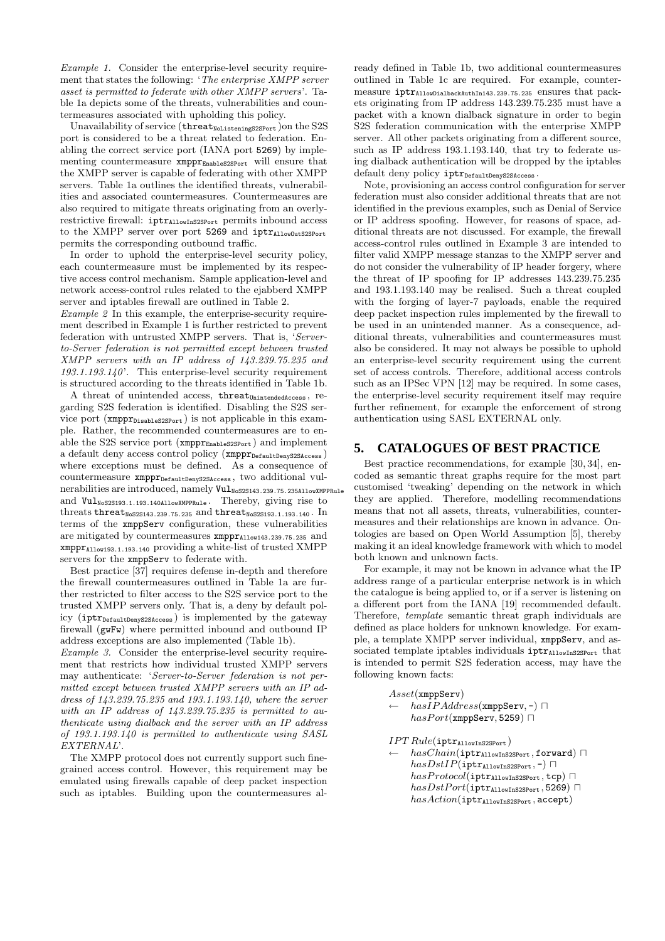*Example 1.* Consider the enterprise-level security requirement that states the following: '*The enterprise XMPP server asset is permitted to federate with other XMPP servers*'. Table 1a depicts some of the threats, vulnerabilities and countermeasures associated with upholding this policy.

Unavailability of service (threat<sub>NoListeningS2SPort</sub>) on the S2S port is considered to be a threat related to federation. Enabling the correct service port (IANA port 5269) by implementing countermeasure  $\text{xmppr}_{\text{EnableS2SPort}}$  will ensure that the XMPP server is capable of federating with other XMPP servers. Table 1a outlines the identified threats, vulnerabilities and associated countermeasures. Countermeasures are also required to mitigate threats originating from an overlyrestrictive firewall:  $iptr<sub>AllowIns2SPort</sub>$  permits inbound access to the XMPP server over port 5269 and iptr<sub>AllowOutS2SPort</sub> permits the corresponding outbound traffic.

In order to uphold the enterprise-level security policy, each countermeasure must be implemented by its respective access control mechanism. Sample application-level and network access-control rules related to the ejabberd XMPP server and iptables firewall are outlined in Table 2.

*Example 2* In this example, the enterprise-security requirement described in Example 1 is further restricted to prevent federation with untrusted XMPP servers. That is, '*Serverto-Server federation is not permitted except between trusted XMPP servers with an IP address of 143.239.75.235 and 193.1.193.140*'. This enterprise-level security requirement is structured according to the threats identified in Table 1b.

A threat of unintended access, threat<sub>UnintendedAccess</sub>, regarding S2S federation is identified. Disabling the S2S service port (xmppr<sub>DisableS2SPort</sub>) is not applicable in this example. Rather, the recommended countermeasures are to enable the S2S service port  $(\text{xmppr}_{\text{EnableSSPort}})$  and implement a default deny access control policy ( $xmppr_{\text{DefaultDensity}}$ ) where exceptions must be defined. As a consequence of  ${\tt countermeasure\ \tt{mapping2SAccess}\,,\ \tt two\ additional\ vul$ nerabilities are introduced, namely  $Vul_{N_0S2S143.239.75.235A11_0\text{wXMPPRule}}$ and Vul<sub>NoS2S193.1.193.140AllowXMPPRule</sub>. Thereby, giving rise to threats threat<sub>NoS2S143.239.75.235</sub> and threat<sub>NoS2S193.1.193.140</sub>. In terms of the xmppServ configuration, these vulnerabilities are mitigated by countermeasures  $xmppr_{Allow143.239.75.235}$  and  $xmppr_{\text{Allow193.1.193.140}}$  providing a white-list of trusted XMPP servers for the xmppServ to federate with.

Best practice [37] requires defense in-depth and therefore the firewall countermeasures outlined in Table 1a are further restricted to filter access to the S2S service port to the trusted XMPP servers only. That is, a deny by default policy (iptr<sub>DefaultDenyS2SAccess</sub>) is implemented by the gateway firewall (gwFw) where permitted inbound and outbound IP address exceptions are also implemented (Table 1b).

*Example 3.* Consider the enterprise-level security requirement that restricts how individual trusted XMPP servers may authenticate: '*Server-to-Server federation is not permitted except between trusted XMPP servers with an IP address of 143.239.75.235 and 193.1.193.140, where the server with an IP address of 143.239.75.235 is permitted to authenticate using dialback and the server with an IP address of 193.1.193.140 is permitted to authenticate using SASL EXTERNAL*'.

The XMPP protocol does not currently support such finegrained access control. However, this requirement may be emulated using firewalls capable of deep packet inspection such as iptables. Building upon the countermeasures al-

ready defined in Table 1b, two additional countermeasures outlined in Table 1c are required. For example, countermeasure iptr<sub>AllowDialbackAuthIn143.239.75.235</sub> ensures that packets originating from IP address 143.239.75.235 must have a packet with a known dialback signature in order to begin S2S federation communication with the enterprise XMPP server. All other packets originating from a different source, such as IP address 193.1.193.140, that try to federate using dialback authentication will be dropped by the iptables default deny policy iptrDefaultDenyS2SAccess.

Note, provisioning an access control configuration for server federation must also consider additional threats that are not identified in the previous examples, such as Denial of Service or IP address spoofing. However, for reasons of space, additional threats are not discussed. For example, the firewall access-control rules outlined in Example 3 are intended to filter valid XMPP message stanzas to the XMPP server and do not consider the vulnerability of IP header forgery, where the threat of IP spoofing for IP addresses 143.239.75.235 and 193.1.193.140 may be realised. Such a threat coupled with the forging of layer-7 payloads, enable the required deep packet inspection rules implemented by the firewall to be used in an unintended manner. As a consequence, additional threats, vulnerabilities and countermeasures must also be considered. It may not always be possible to uphold an enterprise-level security requirement using the current set of access controls. Therefore, additional access controls such as an IPSec VPN [12] may be required. In some cases, the enterprise-level security requirement itself may require further refinement, for example the enforcement of strong authentication using SASL EXTERNAL only.

## **5. CATALOGUES OF BEST PRACTICE**

Best practice recommendations, for example [30, 34], encoded as semantic threat graphs require for the most part customised 'tweaking' depending on the network in which they are applied. Therefore, modelling recommendations means that not all assets, threats, vulnerabilities, countermeasures and their relationships are known in advance. Ontologies are based on Open World Assumption [5], thereby making it an ideal knowledge framework with which to model both known and unknown facts.

For example, it may not be known in advance what the IP address range of a particular enterprise network is in which the catalogue is being applied to, or if a server is listening on a different port from the IANA [19] recommended default. Therefore, *template* semantic threat graph individuals are defined as place holders for unknown knowledge. For example, a template XMPP server individual, xmppServ, and associated template iptables individuals  $iptr_{\text{AllowIns2SPort}}$  that is intended to permit S2S federation access, may have the following known facts:

|              | $\textit{Asset}(\texttt{xmpserv})$          |
|--------------|---------------------------------------------|
| $\leftarrow$ | $has IPAddress(\text{xmpserv},-) \sqcap$    |
|              | $hasPort(\texttt{xmps)$ erv, 5259) $\sqcap$ |

 $\operatorname{IPT} \operatorname{Rule}(\texttt{iptr}_\texttt{AllowIns2SPort})$  $hasChain(\texttt{iptr}_\texttt{AllowIns2SPort}, \texttt{forward})$  ∏  $hasDstIP$ (iptr<sub>AllowInS2SPort</sub>, -)  $\Box$ hasProtocol(iptrAllowInS2SPort , tcp) ⊓ hasDstPort(iptrAllowInS2SPort , 5269) ⊓  $hasAction(\texttt{iptr}_\texttt{AllowIns2SPort}, \texttt{accept})$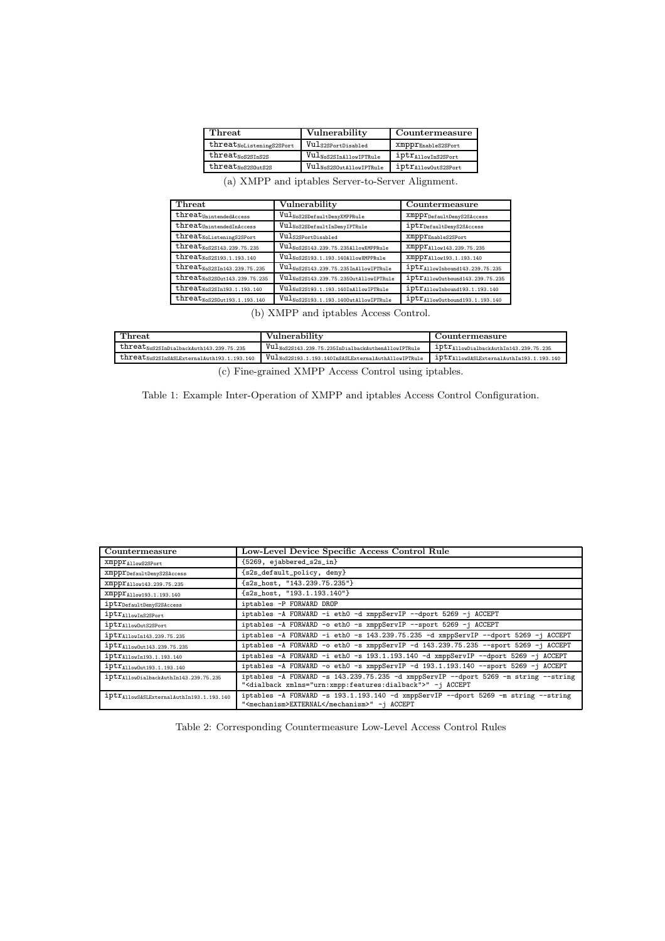| Threat                          | Vulnerability                             | Countermeasure                  |
|---------------------------------|-------------------------------------------|---------------------------------|
| $threat_{NoListeneringS2SPort}$ | $\texttt{Vul}_{\texttt{SSPortDisable}}$   | XMpprEnableS2SPort              |
| threat <sub>NoS2STnS2S</sub>    | $\mathtt{Vul}_{\tt NoSSInAllowIPTRUE}$    | iptr <sub>AllowInS2SPort</sub>  |
| threat <sub>NoS2S0uts2S</sub>   | $\mathtt{Vul}_{\tt NoSS3SOutAllowIPTRUE}$ | $iptr_{\text{AllowOutS2SPort}}$ |

(a) XMPP and iptables Server-to-Server Alignment.

| Threat                                 | Vulnerability                                                | Countermeasure                              |
|----------------------------------------|--------------------------------------------------------------|---------------------------------------------|
| $threat$ UnintendedAccess              | Vul <sub>NoS2SDefaultDenyXMPPRule</sub>                      | XMPPTDefaultDenyS2SAccess                   |
| $threat$ UnintendedInAccess            | Vul <sub>NoS2SDefaultInDenyIPTRule</sub>                     | iptr <sub>DefaultDenyS2SAccess</sub>        |
| $threat_{NoListeneringS2SPort}$        | Vuls2SPortDisabled                                           | Xmppr <sub>EnableS2SPort</sub>              |
| threat <sub>NoS2S143.239.75.235</sub>  | $\texttt{Vul}_{\texttt{NoS2S143.239.75.235Allow}$ XMPPRule   | Xmppr <sub>Allow143.239.75.235</sub>        |
| threat <sub>NoS2S193.1.193.140</sub>   | Vul <sub>NoS2S193.1.193.140AllowXMPPRule</sub>               | Xmppr <sub>Allow</sub> 193.1.193.140        |
| $threatNoS2SIn143.239.75.235$          | Vul <sub>NoS2S143.239.75.235InAllowIPTRule</sub>             | iptr <sub>AllowInbound143.239.75.235</sub>  |
| $threatNoS2S0ut143.239.75.235$         | $\texttt{Vul}_{\texttt{NoS2S143.239.75.2350ut}$ AllowIPTRule | iptr <sub>AllowOutbound143.239.75.235</sub> |
| threat <sub>NoS2SIn193.1.193.140</sub> | $\texttt{Vul}_{\texttt{NoS2S193.1.193.140InAllowIFRule}}$    | iptr <sub>AllowInbound193.1.193.140</sub>   |
| $threat_{NoS2S0ut193.1.193.140}$       | $\texttt{Vul}_{\texttt{NoS2S193.1.193.1400utAllowIPTRUE}}$   | iptr <sub>AllowOutbound193.1.193.140</sub>  |

(b) XMPP and iptables Access Control.

| Threat                                            | Vulnerability                                                              | Countermeasure                                                    |
|---------------------------------------------------|----------------------------------------------------------------------------|-------------------------------------------------------------------|
| threatwospstphialbackAuth143 239 75 235           | $1$ $\text{Vul}_{\text{NoSS143.239.75.235InDialbackAuthenticationAllowIP}$ | $1ptr_{A11\alpha\nu\text{Di}a1\text{back}A$ uth $1nd3.239.75.235$ |
| $threat_{NoSSTnSASLEXternal Author193.1.193.140}$ | VulwoS2S193.1.193.140InSASLExternalAuthAllowIPTRule                        | $1ptr_{A11\text{o}wSASLExternalAuthIn193.1.193.140}$              |

(c) Fine-grained XMPP Access Control using iptables.

Table 1: Example Inter-Operation of XMPP and iptables Access Control Configuration.

| Countermeasure                                        | Low-Level Device Specific Access Control Rule                                                                                                                              |
|-------------------------------------------------------|----------------------------------------------------------------------------------------------------------------------------------------------------------------------------|
| Xmppr <sub>Allow</sub> S2SPort                        | {5269, ejabbered_s2s_in}                                                                                                                                                   |
| XMPPTDefaultDenyS2SAccess                             | {s2s_default_policy, deny}                                                                                                                                                 |
| XMppr <sub>Allow143.239.75.235</sub>                  | ${s2s\_host, "143.239.75.235"}$                                                                                                                                            |
| Xmppr <sub>Allow193.1.193.140</sub>                   | $\{s2s\_host, "193.1.193.140"\}$                                                                                                                                           |
| iptr <sub>DefaultDeny</sub> S2SAccess                 | iptables -P FORWARD DROP                                                                                                                                                   |
| iptr <sub>AllowInS2SPort</sub>                        | iptables -A FORWARD -i ethO -d xmppServIP --dport 5269 -j ACCEPT                                                                                                           |
| iptr <sub>AllowOutS2SPort</sub>                       | iptables -A FORWARD -o ethO -s xmppServIP --sport 5269 -j ACCEPT                                                                                                           |
| iptr <sub>AllowIn143.239.75.235</sub>                 | iptables -A FORWARD -i eth0 -s 143.239.75.235 -d xmppServIP --dport 5269 -j ACCEPT                                                                                         |
| $iptr_{\text{AllowOut143.239.75.235}}$                | iptables -A FORWARD -o ethO -s xmppServIP -d 143.239.75.235 --sport 5269 -j ACCEPT                                                                                         |
| iptr <sub>AllowIn193.1.193.140</sub>                  | iptables -A FORWARD -i ethO -s 193.1.193.140 -d xmppServIP --dport 5269 -j ACCEPT                                                                                          |
| iptr <sub>AllowOut193.1.193.140</sub>                 | iptables -A FORWARD -o ethO -s xmppServIP -d 193.1.193.140 --sport 5269 -j ACCEPT                                                                                          |
| iptr <sub>AllowDialbackAuthIn143.239.75.235</sub>     | iptables $-A$ FORWARD $-s$ 143.239.75.235 $-d$ xmppServIP $--$ dport 5269 $-m$ string $--$ string<br>" <dialback xmlns="urn:xmpp:features:dialback">" -j ACCEPT</dialback> |
| iptr <sub>Allow</sub> SASLExternalAuthIn193.1.193.140 | iptables -A FORWARD -s 193.1.193.140 -d xmppServIP --dport 5269 -m string --string<br>" <mechanism>EXTERNAL</mechanism> " -j ACCEPT                                        |

Table 2: Corresponding Countermeasure Low-Level Access Control Rules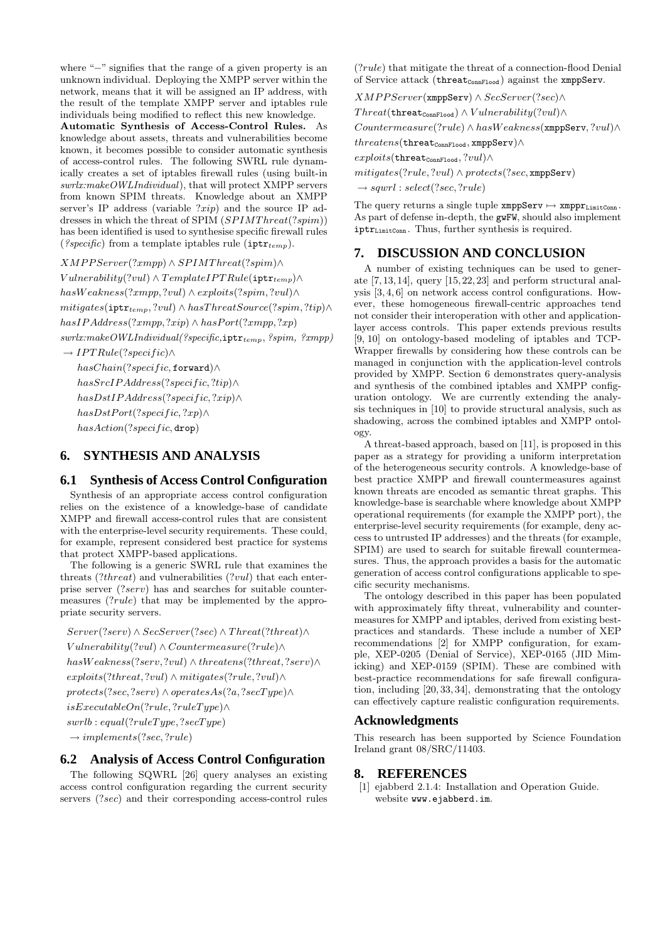where "−" signifies that the range of a given property is an unknown individual. Deploying the XMPP server within the network, means that it will be assigned an IP address, with the result of the template XMPP server and iptables rule individuals being modified to reflect this new knowledge. Automatic Synthesis of Access-Control Rules. As knowledge about assets, threats and vulnerabilities become known, it becomes possible to consider automatic synthesis of access-control rules. The following SWRL rule dynamically creates a set of iptables firewall rules (using built-in *swrlx:makeOWLIndividual* ), that will protect XMPP servers from known SPIM threats. Knowledge about an XMPP server's IP address (variable  $?xip$ ) and the source IP addresses in which the threat of SPIM (SPIMThreat(?spim)) has been identified is used to synthesise specific firewall rules (*?specific*) from a template iptables rule ( $\text{iptr}_{temp}$ ).

 $XMPPServer(?xmpp) \wedge SPIMThread(?spin) \wedge$  $Vulnerability(?vul) \wedge TemplateIPTRule(\texttt{iptr}_{temp}) \wedge$ hasWeakness(?xmpp, ?vul) ∧ exploits(?spim, ?vul)∧  $mitigates(\texttt{iptr}_{temp}, ?val) \wedge hasThreadSource(?spin, ?tip) \wedge$  $has IPAddress(?xmpp, ?xip) \wedge hasPort(?xmpp, ?xp)$  $swrlx:makeOWLIndivial($ ?specific.iptr<sub>temp</sub>, ?spim, ?xmpp)  $\rightarrow IPTRule(?specific) \wedge$ 

hasChain(?specific, forward)∧ hasSrcIPAddress(?specific, ?tip)∧ hasDstIPAddress(?specific, ?xip)∧ hasDstPort(?specific, ?xp)∧ hasAction(?specific, drop)

# **6. SYNTHESIS AND ANALYSIS**

#### **6.1 Synthesis of Access Control Configuration**

Synthesis of an appropriate access control configuration relies on the existence of a knowledge-base of candidate XMPP and firewall access-control rules that are consistent with the enterprise-level security requirements. These could, for example, represent considered best practice for systems that protect XMPP-based applications.

The following is a generic SWRL rule that examines the threats  $(?thread)$  and vulnerabilities  $('vul)$  that each enterprise server (?serv) has and searches for suitable countermeasures (?rule) that may be implemented by the appropriate security servers.

 $Server(?serv) \wedge SecServer(?sec) \wedge Thread(?thread) \wedge$ V ulnerability(?vul) ∧ Countermeasure(?rule)∧

hasWeakness(?serv, ?vul) ∧ threatens(?threat, ?serv)∧ exploits(?threat, ?vul) ∧ mitigates(?rule, ?vul)∧

 $protects(?sec, ?serv) \wedge operatesAs(?a, ?secType) \wedge$ 

isExecutableOn(?rule, ?ruleType)∧

 $swrlb : equal("ruleType, ?secType)$ 

 $\rightarrow$  implements(?sec, ?rule)

# **6.2 Analysis of Access Control Configuration**

The following SQWRL [26] query analyses an existing access control configuration regarding the current security servers (?sec) and their corresponding access-control rules

(?rule) that mitigate the threat of a connection-flood Denial of Service attack ( ${\tt threat}_{\tt ConnFood}$ ) against the xmppServ.

XMPPServer(xmppServ) ∧ SecServer(?sec)∧

 $Thread(**thread**(**concat**<sub>ConnFlood</sub>) \wedge V *underability*(? *vul*) \wedge$ 

 $Countermeasure(?rule) \wedge hasWeakness(\texttt{xmppServ},?vul) \wedge$ 

 $threads(**thread**<sub>ConnFlood</sub>,**rmppServ**)\wedge$ 

 $exploits(\texttt{thread}_\texttt{ConnFload}, ?vul) \wedge$ 

 $mitigates('rule,?vul) \wedge protects('sec, \texttt{xmppServ})$ 

 $\rightarrow$  sqwrl : select(?sec,?rule)

The query returns a single tuple  $xmppServ \mapsto xmppr_{LimitConn}.$ As part of defense in-depth, the gwFW, should also implement  $\text{int}_{\text{LimitConn}}$ . Thus, further synthesis is required.

# **7. DISCUSSION AND CONCLUSION**

A number of existing techniques can be used to generate [7, 13, 14], query [15, 22, 23] and perform structural analysis [3, 4, 6] on network access control configurations. However, these homogeneous firewall-centric approaches tend not consider their interoperation with other and applicationlayer access controls. This paper extends previous results [9, 10] on ontology-based modeling of iptables and TCP-Wrapper firewalls by considering how these controls can be managed in conjunction with the application-level controls provided by XMPP. Section 6 demonstrates query-analysis and synthesis of the combined iptables and XMPP configuration ontology. We are currently extending the analysis techniques in [10] to provide structural analysis, such as shadowing, across the combined iptables and XMPP ontology.

A threat-based approach, based on [11], is proposed in this paper as a strategy for providing a uniform interpretation of the heterogeneous security controls. A knowledge-base of best practice XMPP and firewall countermeasures against known threats are encoded as semantic threat graphs. This knowledge-base is searchable where knowledge about XMPP operational requirements (for example the XMPP port), the enterprise-level security requirements (for example, deny access to untrusted IP addresses) and the threats (for example, SPIM) are used to search for suitable firewall countermeasures. Thus, the approach provides a basis for the automatic generation of access control configurations applicable to specific security mechanisms.

The ontology described in this paper has been populated with approximately fifty threat, vulnerability and countermeasures for XMPP and iptables, derived from existing bestpractices and standards. These include a number of XEP recommendations [2] for XMPP configuration, for example, XEP-0205 (Denial of Service), XEP-0165 (JID Mimicking) and XEP-0159 (SPIM). These are combined with best-practice recommendations for safe firewall configuration, including [20, 33, 34], demonstrating that the ontology can effectively capture realistic configuration requirements.

#### **Acknowledgments**

This research has been supported by Science Foundation Ireland grant 08/SRC/11403.

#### **8. REFERENCES**

[1] ejabberd 2.1.4: Installation and Operation Guide. website www.ejabberd.im.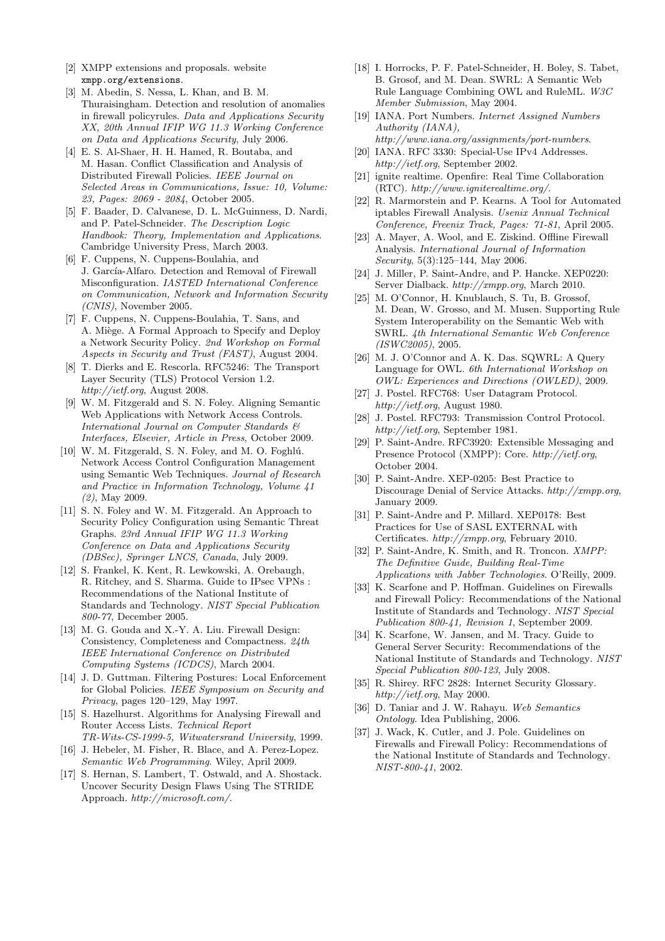- [2] XMPP extensions and proposals. website xmpp.org/extensions.
- [3] M. Abedin, S. Nessa, L. Khan, and B. M. Thuraisingham. Detection and resolution of anomalies in firewall policyrules. *Data and Applications Security XX, 20th Annual IFIP WG 11.3 Working Conference on Data and Applications Security*, July 2006.
- [4] E. S. Al-Shaer, H. H. Hamed, R. Boutaba, and M. Hasan. Conflict Classification and Analysis of Distributed Firewall Policies. *IEEE Journal on Selected Areas in Communications, Issue: 10, Volume: 23, Pages: 2069 - 2084*, October 2005.
- [5] F. Baader, D. Calvanese, D. L. McGuinness, D. Nardi, and P. Patel-Schneider. *The Description Logic Handbook: Theory, Implementation and Applications*. Cambridge University Press, March 2003.
- [6] F. Cuppens, N. Cuppens-Boulahia, and J. García-Alfaro. Detection and Removal of Firewall Misconfiguration. *IASTED International Conference on Communication, Network and Information Security (CNIS)*, November 2005.
- [7] F. Cuppens, N. Cuppens-Boulahia, T. Sans, and A. Miège. A Formal Approach to Specify and Deploy a Network Security Policy. *2nd Workshop on Formal Aspects in Security and Trust (FAST)*, August 2004.
- [8] T. Dierks and E. Rescorla. RFC5246: The Transport Layer Security (TLS) Protocol Version 1.2. *http://ietf.org*, August 2008.
- [9] W. M. Fitzgerald and S. N. Foley. Aligning Semantic Web Applications with Network Access Controls. *International Journal on Computer Standards & Interfaces, Elsevier, Article in Press*, October 2009.
- [10] W. M. Fitzgerald, S. N. Foley, and M. O. Foghlú. Network Access Control Configuration Management using Semantic Web Techniques. *Journal of Research and Practice in Information Technology, Volume 41 (2)*, May 2009.
- [11] S. N. Foley and W. M. Fitzgerald. An Approach to Security Policy Configuration using Semantic Threat Graphs. *23rd Annual IFIP WG 11.3 Working Conference on Data and Applications Security (DBSec), Springer LNCS, Canada*, July 2009.
- [12] S. Frankel, K. Kent, R. Lewkowski, A. Orebaugh, R. Ritchey, and S. Sharma. Guide to IPsec VPNs : Recommendations of the National Institute of Standards and Technology. *NIST Special Publication 800-77*, December 2005.
- [13] M. G. Gouda and X.-Y. A. Liu. Firewall Design: Consistency, Completeness and Compactness. *24th IEEE International Conference on Distributed Computing Systems (ICDCS)*, March 2004.
- [14] J. D. Guttman. Filtering Postures: Local Enforcement for Global Policies. *IEEE Symposium on Security and Privacy*, pages 120–129, May 1997.
- [15] S. Hazelhurst. Algorithms for Analysing Firewall and Router Access Lists. *Technical Report TR-Wits-CS-1999-5, Witwatersrand University*, 1999.
- [16] J. Hebeler, M. Fisher, R. Blace, and A. Perez-Lopez. *Semantic Web Programming*. Wiley, April 2009.
- [17] S. Hernan, S. Lambert, T. Ostwald, and A. Shostack. Uncover Security Design Flaws Using The STRIDE Approach. *http://microsoft.com/*.
- [18] I. Horrocks, P. F. Patel-Schneider, H. Boley, S. Tabet, B. Grosof, and M. Dean. SWRL: A Semantic Web Rule Language Combining OWL and RuleML. *W3C Member Submission*, May 2004.
- [19] IANA. Port Numbers. *Internet Assigned Numbers Authority (IANA),*

*http://www.iana.org/assignments/port-numbers*. [20] IANA. RFC 3330: Special-Use IPv4 Addresses. *http://ietf.org*, September 2002.

- [21] ignite realtime. Openfire: Real Time Collaboration (RTC). *http://www.igniterealtime.org/*.
- [22] R. Marmorstein and P. Kearns. A Tool for Automated iptables Firewall Analysis. *Usenix Annual Technical Conference, Freenix Track, Pages: 71-81*, April 2005.
- [23] A. Mayer, A. Wool, and E. Ziskind. Offline Firewall Analysis. *International Journal of Information Security*, 5(3):125–144, May 2006.
- [24] J. Miller, P. Saint-Andre, and P. Hancke. XEP0220: Server Dialback. *http://xmpp.org*, March 2010.
- [25] M. O'Connor, H. Knublauch, S. Tu, B. Grossof, M. Dean, W. Grosso, and M. Musen. Supporting Rule System Interoperability on the Semantic Web with SWRL. *4th International Semantic Web Conference (ISWC2005)*, 2005.
- [26] M. J. O'Connor and A. K. Das. SQWRL: A Query Language for OWL. *6th International Workshop on OWL: Experiences and Directions (OWLED)*, 2009.
- [27] J. Postel. RFC768: User Datagram Protocol. *http://ietf.org*, August 1980.
- [28] J. Postel. RFC793: Transmission Control Protocol. *http://ietf.org*, September 1981.
- [29] P. Saint-Andre. RFC3920: Extensible Messaging and Presence Protocol (XMPP): Core. *http://ietf.org*, October 2004.
- [30] P. Saint-Andre. XEP-0205: Best Practice to Discourage Denial of Service Attacks. *http://xmpp.org*, January 2009.
- [31] P. Saint-Andre and P. Millard. XEP0178: Best Practices for Use of SASL EXTERNAL with Certificates. *http://xmpp.org*, February 2010.
- [32] P. Saint-Andre, K. Smith, and R. Troncon. *XMPP: The Definitive Guide, Building Real-Time Applications with Jabber Technologies*. O'Reilly, 2009.
- [33] K. Scarfone and P. Hoffman. Guidelines on Firewalls and Firewall Policy: Recommendations of the National Institute of Standards and Technology. *NIST Special Publication 800-41, Revision 1*, September 2009.
- [34] K. Scarfone, W. Jansen, and M. Tracy. Guide to General Server Security: Recommendations of the National Institute of Standards and Technology. *NIST Special Publication 800-123*, July 2008.
- [35] R. Shirey. RFC 2828: Internet Security Glossary. *http://ietf.org*, May 2000.
- [36] D. Taniar and J. W. Rahayu. *Web Semantics Ontology*. Idea Publishing, 2006.
- [37] J. Wack, K. Cutler, and J. Pole. Guidelines on Firewalls and Firewall Policy: Recommendations of the National Institute of Standards and Technology. *NIST-800-41*, 2002.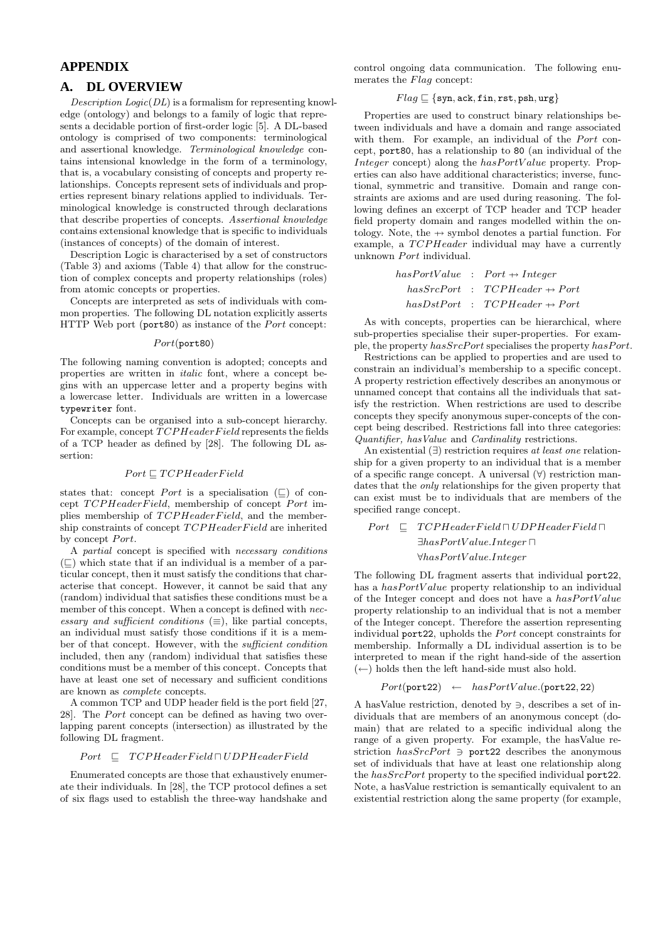# **APPENDIX**

#### **A. DL OVERVIEW**

*Description Logic*(*DL*) is a formalism for representing knowledge (ontology) and belongs to a family of logic that represents a decidable portion of first-order logic [5]. A DL-based ontology is comprised of two components: terminological and assertional knowledge. *Terminological knowledge* contains intensional knowledge in the form of a terminology, that is, a vocabulary consisting of concepts and property relationships. Concepts represent sets of individuals and properties represent binary relations applied to individuals. Terminological knowledge is constructed through declarations that describe properties of concepts. *Assertional knowledge* contains extensional knowledge that is specific to individuals (instances of concepts) of the domain of interest.

Description Logic is characterised by a set of constructors (Table 3) and axioms (Table 4) that allow for the construction of complex concepts and property relationships (roles) from atomic concepts or properties.

Concepts are interpreted as sets of individuals with common properties. The following DL notation explicitly asserts HTTP Web port (port80) as instance of the Port concept:

#### Port(port80)

The following naming convention is adopted; concepts and properties are written in *italic* font, where a concept begins with an uppercase letter and a property begins with a lowercase letter. Individuals are written in a lowercase typewriter font.

Concepts can be organised into a sub-concept hierarchy. For example, concept TCPHeaderField represents the fields of a TCP header as defined by [28]. The following DL assertion:

#### Port ⊑ TCPHeaderField

states that: concept *Port* is a specialisation  $(\sqsubseteq)$  of concept TCPHeaderField, membership of concept Port implies membership of TCPHeaderField, and the membership constraints of concept TCPHeaderField are inherited by concept Port.

A *partial* concept is specified with *necessary conditions*  $(E)$  which state that if an individual is a member of a particular concept, then it must satisfy the conditions that characterise that concept. However, it cannot be said that any (random) individual that satisfies these conditions must be a member of this concept. When a concept is defined with *necessary and sufficient conditions*  $(\equiv)$ , like partial concepts, an individual must satisfy those conditions if it is a member of that concept. However, with the *sufficient condition* included, then any (random) individual that satisfies these conditions must be a member of this concept. Concepts that have at least one set of necessary and sufficient conditions are known as *complete* concepts.

A common TCP and UDP header field is the port field [27, 28]. The Port concept can be defined as having two overlapping parent concepts (intersection) as illustrated by the following DL fragment.

#### Port ⊑ TCPHeaderField ⊓ UDPHeaderField

Enumerated concepts are those that exhaustively enumerate their individuals. In [28], the TCP protocol defines a set of six flags used to establish the three-way handshake and

control ongoing data communication. The following enumerates the Flag concept:

#### $Flag \sqsubseteq {syn,ack,fin,rst, psh,urg}$

Properties are used to construct binary relationships between individuals and have a domain and range associated with them. For example, an individual of the Port concept, port80, has a relationship to 80 (an individual of the Integer concept) along the  $hasPortValue$  property. Properties can also have additional characteristics; inverse, functional, symmetric and transitive. Domain and range constraints are axioms and are used during reasoning. The following defines an excerpt of TCP header and TCP header field property domain and ranges modelled within the ontology. Note, the  $\rightarrow$  symbol denotes a partial function. For example, a  $TCPHeader$  individual may have a currently unknown Port individual.

|  | $hasPortValue$ : $Port \rightarrow Integer$  |
|--|----------------------------------------------|
|  | $has SrcPort$ : $TCPHeader \rightarrow Port$ |
|  | $has DstPort$ : $TCPHeader \rightarrow Port$ |

As with concepts, properties can be hierarchical, where sub-properties specialise their super-properties. For example, the property hasSrcPort specialises the property hasPort.

Restrictions can be applied to properties and are used to constrain an individual's membership to a specific concept. A property restriction effectively describes an anonymous or unnamed concept that contains all the individuals that satisfy the restriction. When restrictions are used to describe concepts they specify anonymous super-concepts of the concept being described. Restrictions fall into three categories: *Quantifier, hasValue* and *Cardinality* restrictions.

An existential (∃) restriction requires *at least one* relationship for a given property to an individual that is a member of a specific range concept. A universal (∀) restriction mandates that the *only* relationships for the given property that can exist must be to individuals that are members of the specified range concept.

# Port ⊑ TCPHeaderField ⊓ UDPHeaderField ⊓ ∃hasPortV alue.Integer ⊓ ∀hasPortV alue.Integer

The following DL fragment asserts that individual port22, has a hasPortValue property relationship to an individual of the Integer concept and does not have a  $hasPortValue$ property relationship to an individual that is not a member of the Integer concept. Therefore the assertion representing individual port22, upholds the Port concept constraints for membership. Informally a DL individual assertion is to be interpreted to mean if the right hand-side of the assertion  $(\leftarrow)$  holds then the left hand-side must also hold.

 $Port(**port22**) \leftarrow hasPortValue(**port22**, 22)$ 

A hasValue restriction, denoted by ∋, describes a set of individuals that are members of an anonymous concept (domain) that are related to a specific individual along the range of a given property. For example, the hasValue restriction hasSrcPort ∋ port22 describes the anonymous set of individuals that have at least one relationship along the hasSrcPort property to the specified individual port22. Note, a hasValue restriction is semantically equivalent to an existential restriction along the same property (for example,